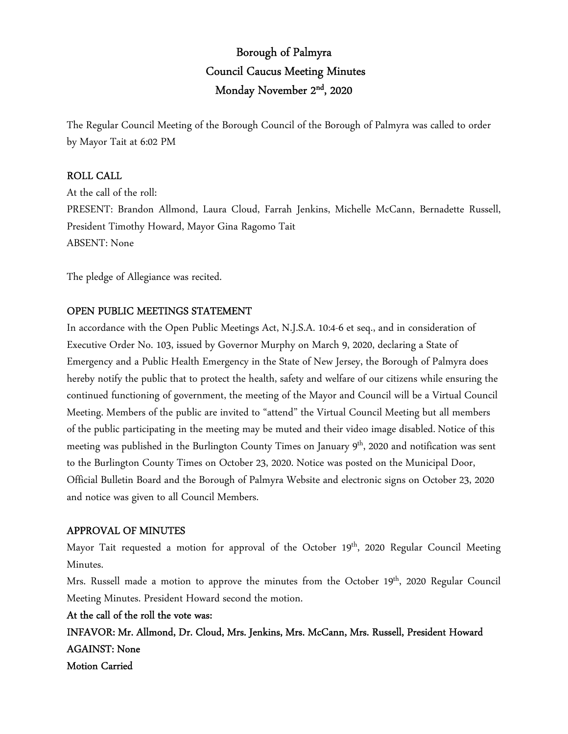# Borough of Palmyra Council Caucus Meeting Minutes Monday November 2<sup>nd</sup>, 2020

The Regular Council Meeting of the Borough Council of the Borough of Palmyra was called to order by Mayor Tait at 6:02 PM

## ROLL CALL

At the call of the roll: PRESENT: Brandon Allmond, Laura Cloud, Farrah Jenkins, Michelle McCann, Bernadette Russell, President Timothy Howard, Mayor Gina Ragomo Tait ABSENT: None

The pledge of Allegiance was recited.

## OPEN PUBLIC MEETINGS STATEMENT

In accordance with the Open Public Meetings Act, N.J.S.A. 10:4-6 et seq., and in consideration of Executive Order No. 103, issued by Governor Murphy on March 9, 2020, declaring a State of Emergency and a Public Health Emergency in the State of New Jersey, the Borough of Palmyra does hereby notify the public that to protect the health, safety and welfare of our citizens while ensuring the continued functioning of government, the meeting of the Mayor and Council will be a Virtual Council Meeting. Members of the public are invited to "attend" the Virtual Council Meeting but all members of the public participating in the meeting may be muted and their video image disabled. Notice of this meeting was published in the Burlington County Times on January 9<sup>th</sup>, 2020 and notification was sent to the Burlington County Times on October 23, 2020. Notice was posted on the Municipal Door, Official Bulletin Board and the Borough of Palmyra Website and electronic signs on October 23, 2020 and notice was given to all Council Members.

## APPROVAL OF MINUTES

Mayor Tait requested a motion for approval of the October 19<sup>th</sup>, 2020 Regular Council Meeting Minutes.

Mrs. Russell made a motion to approve the minutes from the October 19<sup>th</sup>, 2020 Regular Council Meeting Minutes. President Howard second the motion.

At the call of the roll the vote was:

INFAVOR: Mr. Allmond, Dr. Cloud, Mrs. Jenkins, Mrs. McCann, Mrs. Russell, President Howard AGAINST: None Motion Carried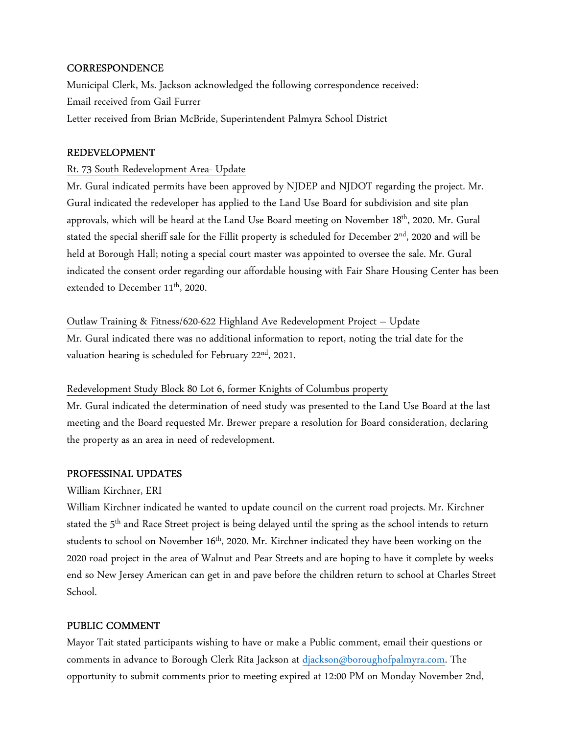## **CORRESPONDENCE**

Municipal Clerk, Ms. Jackson acknowledged the following correspondence received: Email received from Gail Furrer Letter received from Brian McBride, Superintendent Palmyra School District

#### REDEVELOPMENT

#### Rt. 73 South Redevelopment Area- Update

Mr. Gural indicated permits have been approved by NJDEP and NJDOT regarding the project. Mr. Gural indicated the redeveloper has applied to the Land Use Board for subdivision and site plan approvals, which will be heard at the Land Use Board meeting on November 18<sup>th</sup>, 2020. Mr. Gural stated the special sheriff sale for the Fillit property is scheduled for December  $2<sup>nd</sup>$ , 2020 and will be held at Borough Hall; noting a special court master was appointed to oversee the sale. Mr. Gural indicated the consent order regarding our affordable housing with Fair Share Housing Center has been extended to December 11<sup>th</sup>, 2020.

## Outlaw Training & Fitness/620-622 Highland Ave Redevelopment Project – Update

Mr. Gural indicated there was no additional information to report, noting the trial date for the valuation hearing is scheduled for February 22<sup>nd</sup>, 2021.

## Redevelopment Study Block 80 Lot 6, former Knights of Columbus property

Mr. Gural indicated the determination of need study was presented to the Land Use Board at the last meeting and the Board requested Mr. Brewer prepare a resolution for Board consideration, declaring the property as an area in need of redevelopment.

#### PROFESSINAL UPDATES

## William Kirchner, ERI

William Kirchner indicated he wanted to update council on the current road projects. Mr. Kirchner stated the 5<sup>th</sup> and Race Street project is being delayed until the spring as the school intends to return students to school on November 16<sup>th</sup>, 2020. Mr. Kirchner indicated they have been working on the 2020 road project in the area of Walnut and Pear Streets and are hoping to have it complete by weeks end so New Jersey American can get in and pave before the children return to school at Charles Street School.

## PUBLIC COMMENT

Mayor Tait stated participants wishing to have or make a Public comment, email their questions or comments in advance to Borough Clerk Rita Jackson at djackson@boroughofpalmyra.com. The opportunity to submit comments prior to meeting expired at 12:00 PM on Monday November 2nd,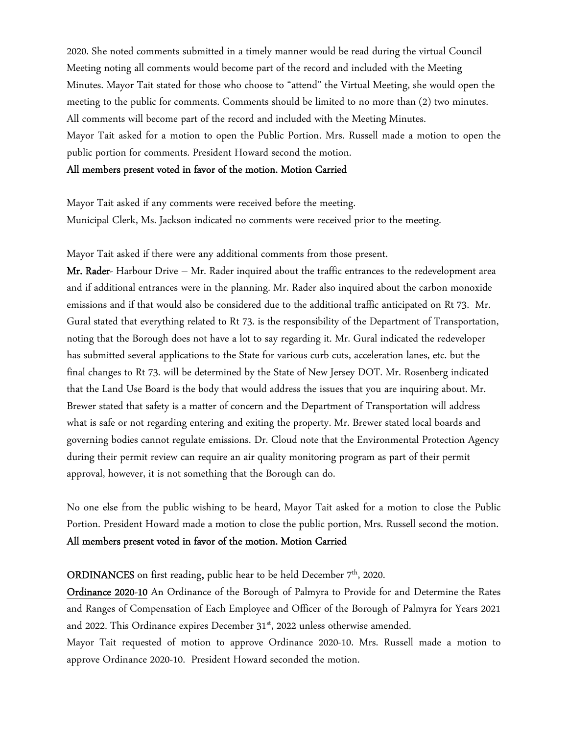2020. She noted comments submitted in a timely manner would be read during the virtual Council Meeting noting all comments would become part of the record and included with the Meeting Minutes. Mayor Tait stated for those who choose to "attend" the Virtual Meeting, she would open the meeting to the public for comments. Comments should be limited to no more than (2) two minutes. All comments will become part of the record and included with the Meeting Minutes. Mayor Tait asked for a motion to open the Public Portion. Mrs. Russell made a motion to open the public portion for comments. President Howard second the motion.

#### All members present voted in favor of the motion. Motion Carried

Mayor Tait asked if any comments were received before the meeting. Municipal Clerk, Ms. Jackson indicated no comments were received prior to the meeting.

Mayor Tait asked if there were any additional comments from those present.

**Mr. Rader-** Harbour Drive – Mr. Rader inquired about the traffic entrances to the redevelopment area and if additional entrances were in the planning. Mr. Rader also inquired about the carbon monoxide emissions and if that would also be considered due to the additional traffic anticipated on Rt 73. Mr. Gural stated that everything related to Rt 73. is the responsibility of the Department of Transportation, noting that the Borough does not have a lot to say regarding it. Mr. Gural indicated the redeveloper has submitted several applications to the State for various curb cuts, acceleration lanes, etc. but the final changes to Rt 73. will be determined by the State of New Jersey DOT. Mr. Rosenberg indicated that the Land Use Board is the body that would address the issues that you are inquiring about. Mr. Brewer stated that safety is a matter of concern and the Department of Transportation will address what is safe or not regarding entering and exiting the property. Mr. Brewer stated local boards and governing bodies cannot regulate emissions. Dr. Cloud note that the Environmental Protection Agency during their permit review can require an air quality monitoring program as part of their permit approval, however, it is not something that the Borough can do.

No one else from the public wishing to be heard, Mayor Tait asked for a motion to close the Public Portion. President Howard made a motion to close the public portion, Mrs. Russell second the motion. All members present voted in favor of the motion. Motion Carried

ORDINANCES on first reading, public hear to be held December 7<sup>th</sup>, 2020.

Ordinance 2020-10 An Ordinance of the Borough of Palmyra to Provide for and Determine the Rates and Ranges of Compensation of Each Employee and Officer of the Borough of Palmyra for Years 2021 and 2022. This Ordinance expires December 31<sup>st</sup>, 2022 unless otherwise amended.

Mayor Tait requested of motion to approve Ordinance 2020-10. Mrs. Russell made a motion to approve Ordinance 2020-10. President Howard seconded the motion.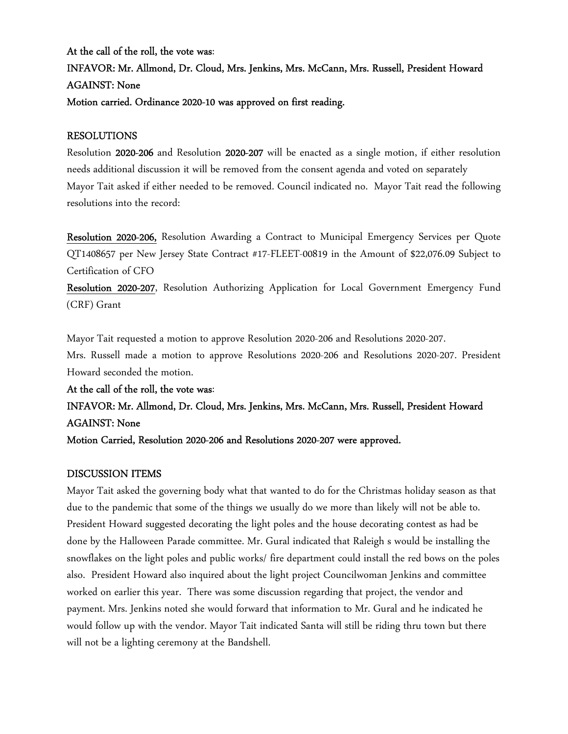## At the call of the roll, the vote was: INFAVOR: Mr. Allmond, Dr. Cloud, Mrs. Jenkins, Mrs. McCann, Mrs. Russell, President Howard AGAINST: None Motion carried. Ordinance 2020-10 was approved on first reading.

## RESOLUTIONS

Resolution 2020-206 and Resolution 2020-207 will be enacted as a single motion, if either resolution needs additional discussion it will be removed from the consent agenda and voted on separately Mayor Tait asked if either needed to be removed. Council indicated no. Mayor Tait read the following resolutions into the record:

Resolution 2020-206, Resolution Awarding a Contract to Municipal Emergency Services per Quote QT1408657 per New Jersey State Contract #17-FLEET-00819 in the Amount of \$22,076.09 Subject to Certification of CFO

Resolution 2020-207, Resolution Authorizing Application for Local Government Emergency Fund (CRF) Grant

Mayor Tait requested a motion to approve Resolution 2020-206 and Resolutions 2020-207. Mrs. Russell made a motion to approve Resolutions 2020-206 and Resolutions 2020-207. President Howard seconded the motion.

At the call of the roll, the vote was:

## INFAVOR: Mr. Allmond, Dr. Cloud, Mrs. Jenkins, Mrs. McCann, Mrs. Russell, President Howard AGAINST: None

Motion Carried, Resolution 2020-206 and Resolutions 2020-207 were approved.

## DISCUSSION ITEMS

Mayor Tait asked the governing body what that wanted to do for the Christmas holiday season as that due to the pandemic that some of the things we usually do we more than likely will not be able to. President Howard suggested decorating the light poles and the house decorating contest as had be done by the Halloween Parade committee. Mr. Gural indicated that Raleigh s would be installing the snowflakes on the light poles and public works/ fire department could install the red bows on the poles also. President Howard also inquired about the light project Councilwoman Jenkins and committee worked on earlier this year. There was some discussion regarding that project, the vendor and payment. Mrs. Jenkins noted she would forward that information to Mr. Gural and he indicated he would follow up with the vendor. Mayor Tait indicated Santa will still be riding thru town but there will not be a lighting ceremony at the Bandshell.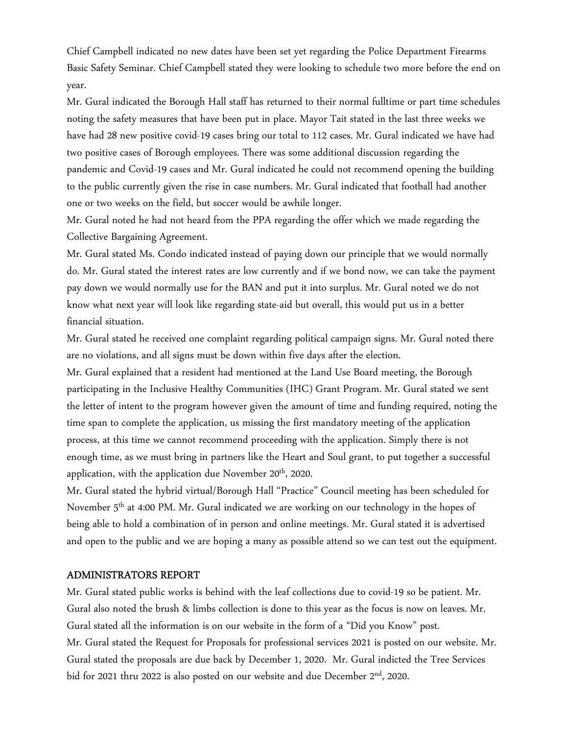Chief Campbell indicated no new dates have been set yet regarding the Police Department Firearms Basic Safety Seminar. Chief Campbell stated they were looking to schedule two more before the end on year.

Mr. Gural indicated the Borough Hall staff has returned to their normal fulltime or part time schedules noting the safety measures that have been put in place. Mayor Tait stated in the last three weeks we have had 28 new positive covid-19 cases bring our total to 112 cases. Mr. Gural indicated we have had two positive cases of Borough employees. There was some additional discussion regarding the pandemic and Covid-19 cases and Mr. Gural indicated he could not recommend opening the building to the public currently given the rise in case numbers. Mr. Gural indicated that football had another one or two weeks on the field, but soccer would be awhile longer.

Mr. Gural noted he had not heard from the PPA regarding the offer which we made regarding the Collective Bargaining Agreement.

Mr. Gural stated Ms. Condo indicated instead of paying down our principle that we would normally do. Mr. Gural stated the interest rates are low currently and if we bond now, we can take the payment pay down we would normally use for the BAN and put it into surplus. Mr. Gural noted we do not know what next year will look like regarding state-aid but overall, this would put us in a better financial situation.

Mr. Gural stated he received one complaint regarding political campaign signs. Mr. Gural noted there are no violations, and all signs must be down within five days after the election.

Mr. Gural explained that a resident had mentioned at the Land Use Board meeting, the Borough participating in the Inclusive Healthy Communities (IHC) Grant Program. Mr. Gural stated we sent the letter of intent to the program however given the amount of time and funding required, noting the time span to complete the application, us missing the first mandatory meeting of the application process, at this time we cannot recommend proceeding with the application. Simply there is not enough time, as we must bring in partners like the Heart and Soul grant, to put together a successful application, with the application due November 20<sup>th</sup>, 2020.

Mr. Gural stated the hybrid virtual/Borough Hall "Practice" Council meeting has been scheduled for November 5th at 4:00 PM. Mr. Gural indicated we are working on our technology in the hopes of being able to hold a combination of in person and online meetings. Mr. Gural stated it is advertised and open to the public and we are hoping a many as possible attend so we can test out the equipment.

#### ADMINISTRATORS REPORT

Mr. Gural stated public works is behind with the leaf collections due to covid-19 so be patient. Mr. Gural also noted the brush & limbs collection is done to this year as the focus is now on leaves. Mr. Gural stated all the information is on our website in the form of a "Did you Know" post. Mr. Gural stated the Request for Proposals for professional services 2021 is posted on our website. Mr. Gural stated the proposals are due back by December 1, 2020. Mr. Gural indicted the Tree Services bid for 2021 thru 2022 is also posted on our website and due December 2<sup>nd</sup>, 2020.